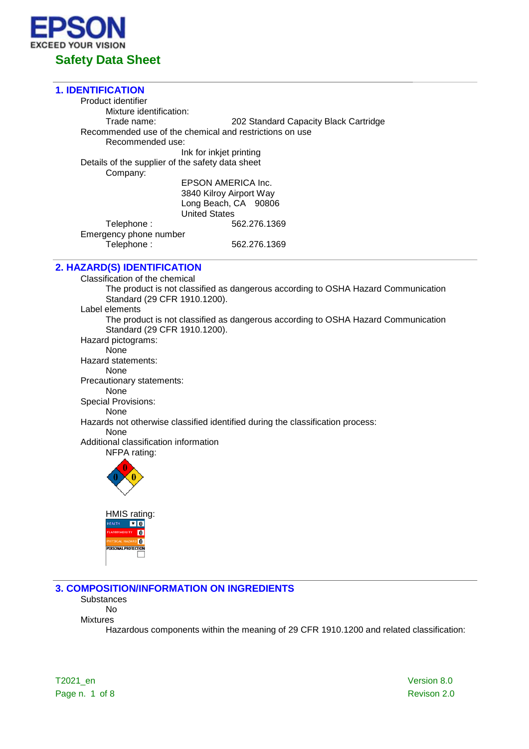

# **1. IDENTIFICATION** Product identifier Mixture identification:<br>Trade name: 202 Standard Capacity Black Cartridge Recommended use of the chemical and restrictions on use Recommended use: Ink for inkjet printing Details of the supplier of the safety data sheet Company: EPSON AMERICA Inc. 3840 Kilroy Airport Way Long Beach, CA 90806 United States Telephone : 662.276.1369 Emergency phone number<br>Telephone : Telephone : 562.276.1369

**2. HAZARD(S) IDENTIFICATION**

Classification of the chemical The product is not classified as dangerous according to OSHA Hazard Communication Standard (29 CFR 1910.1200). Label elements The product is not classified as dangerous according to OSHA Hazard Communication Standard (29 CFR 1910.1200). Hazard pictograms: **None** Hazard statements: None Precautionary statements: None Special Provisions: None Hazards not otherwise classified identified during the classification process: None Additional classification information NFPA rating: HMIS rating:  $\frac{1}{2}$ 



**3. COMPOSITION/INFORMATION ON INGREDIENTS**

**Substances** No

Mixtures

Hazardous components within the meaning of 29 CFR 1910.1200 and related classification:

T2021\_en Version 8.0 Page n. 1 of 8 Revison 2.0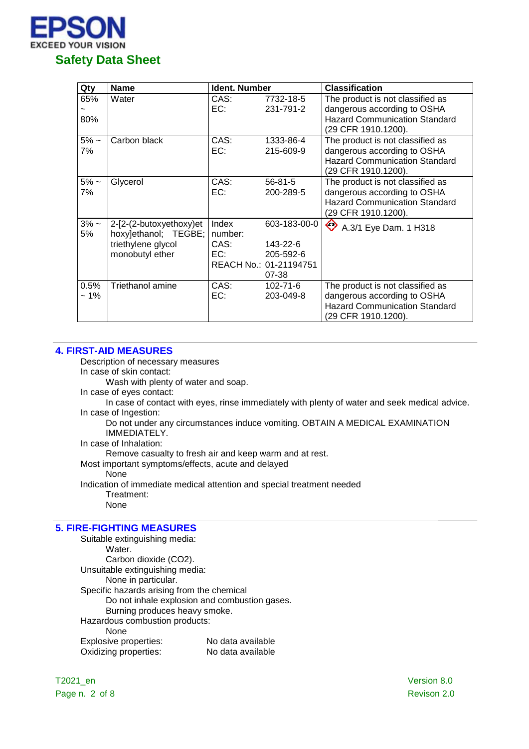

| Qty            | <b>Name</b>                                                                              | <b>Ident. Number</b>            |                                                                          | <b>Classification</b>                                                                                                          |
|----------------|------------------------------------------------------------------------------------------|---------------------------------|--------------------------------------------------------------------------|--------------------------------------------------------------------------------------------------------------------------------|
| 65%<br>80%     | Water                                                                                    | CAS:<br>EC:                     | 7732-18-5<br>231-791-2                                                   | The product is not classified as<br>dangerous according to OSHA<br><b>Hazard Communication Standard</b><br>(29 CFR 1910.1200). |
| $5% -$<br>7%   | Carbon black                                                                             | CAS:<br>EC:                     | 1333-86-4<br>215-609-9                                                   | The product is not classified as<br>dangerous according to OSHA<br><b>Hazard Communication Standard</b><br>(29 CFR 1910.1200). |
| $5\%$ ~<br>7%  | Glycerol                                                                                 | CAS:<br>EC:                     | $56 - 81 - 5$<br>200-289-5                                               | The product is not classified as<br>dangerous according to OSHA<br><b>Hazard Communication Standard</b><br>(29 CFR 1910.1200). |
| $3% -$<br>5%   | 2-[2-(2-butoxyethoxy)et<br>hoxy]ethanol; TEGBE;<br>triethylene glycol<br>monobutyl ether | Index<br>number:<br>CAS:<br>EC: | 603-183-00-0<br>143-22-6<br>205-592-6<br>REACH No.: 01-21194751<br>07-38 | ♦<br>A.3/1 Eye Dam. 1 H318                                                                                                     |
| 0.5%<br>$~1\%$ | <b>Triethanol amine</b>                                                                  | CAS:<br>EC:                     | 102-71-6<br>203-049-8                                                    | The product is not classified as<br>dangerous according to OSHA<br><b>Hazard Communication Standard</b><br>(29 CFR 1910.1200). |

### **4. FIRST-AID MEASURES**

Description of necessary measures

In case of skin contact:

Wash with plenty of water and soap.

In case of eyes contact:

In case of contact with eyes, rinse immediately with plenty of water and seek medical advice. In case of Ingestion:

Do not under any circumstances induce vomiting. OBTAIN A MEDICAL EXAMINATION IMMEDIATELY.

In case of Inhalation:

Remove casualty to fresh air and keep warm and at rest.

Most important symptoms/effects, acute and delayed

None

Indication of immediate medical attention and special treatment needed Treatment:

None

## **5. FIRE-FIGHTING MEASURES**

Suitable extinguishing media: Water. Carbon dioxide (CO2). Unsuitable extinguishing media: None in particular. Specific hazards arising from the chemical Do not inhale explosion and combustion gases. Burning produces heavy smoke. Hazardous combustion products: None Explosive properties: No data available Oxidizing properties: No data available

T2021\_en Version 8.0 Page n. 2 of 8 Revison 2.0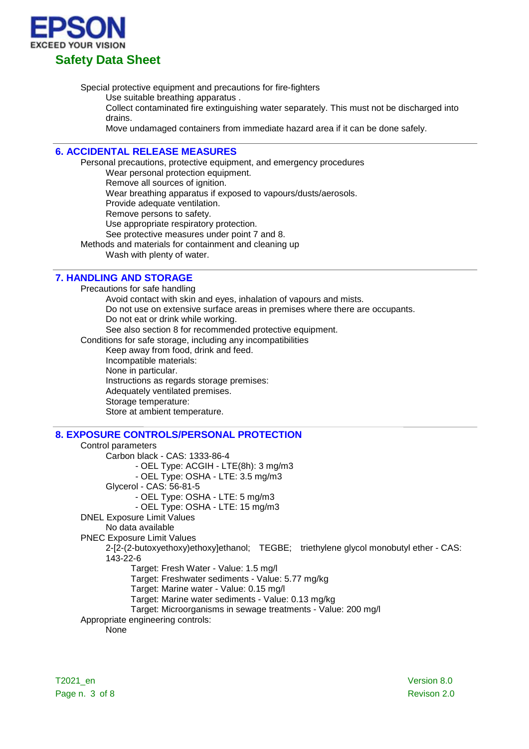

Special protective equipment and precautions for fire-fighters

Use suitable breathing apparatus .

Collect contaminated fire extinguishing water separately. This must not be discharged into drains.

Move undamaged containers from immediate hazard area if it can be done safely.

## **6. ACCIDENTAL RELEASE MEASURES**

Personal precautions, protective equipment, and emergency procedures

Wear personal protection equipment.

Remove all sources of ignition.

Wear breathing apparatus if exposed to vapours/dusts/aerosols.

Provide adequate ventilation.

Remove persons to safety.

Use appropriate respiratory protection.

See protective measures under point 7 and 8.

Methods and materials for containment and cleaning up

Wash with plenty of water.

### **7. HANDLING AND STORAGE**

Precautions for safe handling Avoid contact with skin and eyes, inhalation of vapours and mists. Do not use on extensive surface areas in premises where there are occupants. Do not eat or drink while working. See also section 8 for recommended protective equipment. Conditions for safe storage, including any incompatibilities Keep away from food, drink and feed. Incompatible materials: None in particular. Instructions as regards storage premises: Adequately ventilated premises. Storage temperature: Store at ambient temperature.

## **8. EXPOSURE CONTROLS/PERSONAL PROTECTION**

Control parameters Carbon black - CAS: 1333-86-4 - OEL Type: ACGIH - LTE(8h): 3 mg/m3 - OEL Type: OSHA - LTE: 3.5 mg/m3 Glycerol - CAS: 56-81-5 - OEL Type: OSHA - LTE: 5 mg/m3 - OEL Type: OSHA - LTE: 15 mg/m3 DNEL Exposure Limit Values No data available PNEC Exposure Limit Values 2-[2-(2-butoxyethoxy)ethoxy]ethanol; TEGBE; triethylene glycol monobutyl ether - CAS: 143-22-6 Target: Fresh Water - Value: 1.5 mg/l Target: Freshwater sediments - Value: 5.77 mg/kg Target: Marine water - Value: 0.15 mg/l Target: Marine water sediments - Value: 0.13 mg/kg Target: Microorganisms in sewage treatments - Value: 200 mg/l Appropriate engineering controls: None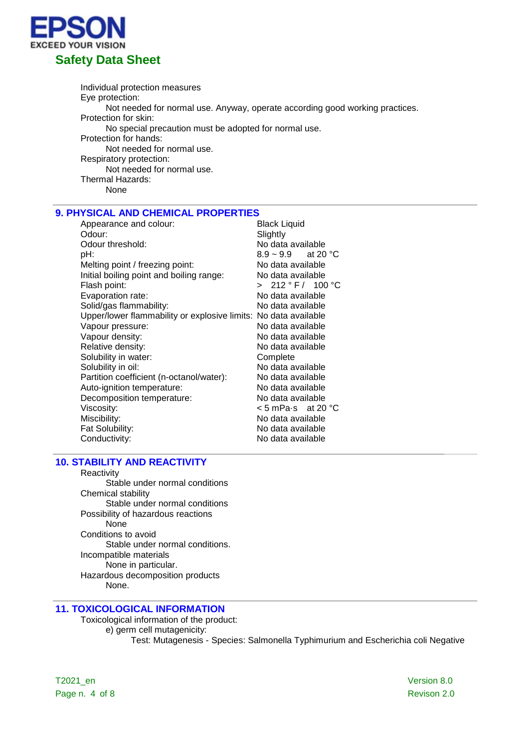

Individual protection measures Eye protection: Not needed for normal use. Anyway, operate according good working practices. Protection for skin: No special precaution must be adopted for normal use. Protection for hands: Not needed for normal use. Respiratory protection: Not needed for normal use. Thermal Hazards: None

### **9. PHYSICAL AND CHEMICAL PROPERTIES**

| Appearance and colour:                                          | <b>Black Liquid</b>     |
|-----------------------------------------------------------------|-------------------------|
| Odour:                                                          | Slightly                |
| Odour threshold:                                                | No data available       |
| pH:                                                             | $8.9 \sim 9.9$ at 20 °C |
| Melting point / freezing point:                                 | No data available       |
| Initial boiling point and boiling range:                        | No data available       |
| Flash point:                                                    | > 212 °F / 100 °C       |
| Evaporation rate:                                               | No data available       |
| Solid/gas flammability:                                         | No data available       |
| Upper/lower flammability or explosive limits: No data available |                         |
| Vapour pressure:                                                | No data available       |
| Vapour density:                                                 | No data available       |
| Relative density:                                               | No data available       |
| Solubility in water:                                            | Complete                |
| Solubility in oil:                                              | No data available       |
| Partition coefficient (n-octanol/water):                        | No data available       |
| Auto-ignition temperature:                                      | No data available       |
| Decomposition temperature:                                      | No data available       |
| Viscosity:                                                      | < 5 mPa⋅s at 20 °C      |
| Miscibility:                                                    | No data available       |
| Fat Solubility:                                                 | No data available       |
| Conductivity:                                                   | No data available       |

### **10. STABILITY AND REACTIVITY**

**Reactivity** Stable under normal conditions Chemical stability Stable under normal conditions Possibility of hazardous reactions None Conditions to avoid Stable under normal conditions. Incompatible materials None in particular. Hazardous decomposition products None.

# **11. TOXICOLOGICAL INFORMATION**

Toxicological information of the product: e) germ cell mutagenicity: Test: Mutagenesis - Species: Salmonella Typhimurium and Escherichia coli Negative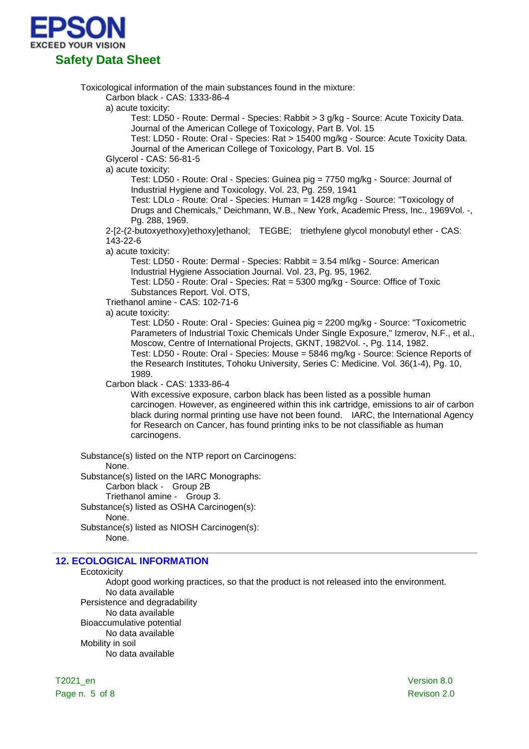

Toxicological information of the main substances found in the mixture:

Carbon black - CAS: 1333-86-4

a) acute toxicity:

Test: LD50 - Route: Dermal - Species: Rabbit > 3 g/kg - Source: Acute Toxicity Data. Journal of the American College of Toxicology, Part B. Vol. 15

Test: LD50 - Route: Oral - Species: Rat > 15400 mg/kg - Source: Acute Toxicity Data. Journal of the American College of Toxicology, Part B. Vol. 15

Glycerol - CAS: 56-81-5

a) acute toxicity:

Test: LD50 - Route: Oral - Species: Guinea pig = 7750 mg/kg - Source: Journal of Industrial Hygiene and Toxicology. Vol. 23, Pg. 259, 1941

Test: LDLo - Route: Oral - Species: Human = 1428 mg/kg - Source: "Toxicology of Drugs and Chemicals," Deichmann, W.B., New York, Academic Press, Inc., 1969Vol. -, Pg. 288, 1969.

2-[2-(2-butoxyethoxy)ethoxy]ethanol; TEGBE; triethylene glycol monobutyl ether - CAS: 143-22-6

a) acute toxicity:

Test: LD50 - Route: Dermal - Species: Rabbit = 3.54 ml/kg - Source: American Industrial Hygiene Association Journal. Vol. 23, Pg. 95, 1962.

Test: LD50 - Route: Oral - Species: Rat = 5300 mg/kg - Source: Office of Toxic Substances Report. Vol. OTS,

Triethanol amine - CAS: 102-71-6

a) acute toxicity:

Test: LD50 - Route: Oral - Species: Guinea pig = 2200 mg/kg - Source: "Toxicometric Parameters of Industrial Toxic Chemicals Under Single Exposure," Izmerov, N.F., et al., Moscow, Centre of International Projects, GKNT, 1982Vol. -, Pg. 114, 1982. Test: LD50 - Route: Oral - Species: Mouse = 5846 mg/kg - Source: Science Reports of the Research Institutes, Tohoku University, Series C: Medicine. Vol. 36(1-4), Pg. 10, 1989.

Carbon black - CAS: 1333-86-4

With excessive exposure, carbon black has been listed as a possible human carcinogen. However, as engineered within this ink cartridge, emissions to air of carbon black during normal printing use have not been found. IARC, the International Agency for Research on Cancer, has found printing inks to be not classifiable as human carcinogens.

Substance(s) listed on the NTP report on Carcinogens: None. Substance(s) listed on the IARC Monographs: Carbon black - Group 2B Triethanol amine - Group 3. Substance(s) listed as OSHA Carcinogen(s): None.

Substance(s) listed as NIOSH Carcinogen(s): None.

## **12. ECOLOGICAL INFORMATION**

**Ecotoxicity** 

Adopt good working practices, so that the product is not released into the environment. No data available Persistence and degradability No data available Bioaccumulative potential No data available Mobility in soil

No data available

T2021\_en Version 8.0 Page n. 5 of 8 Revison 2.0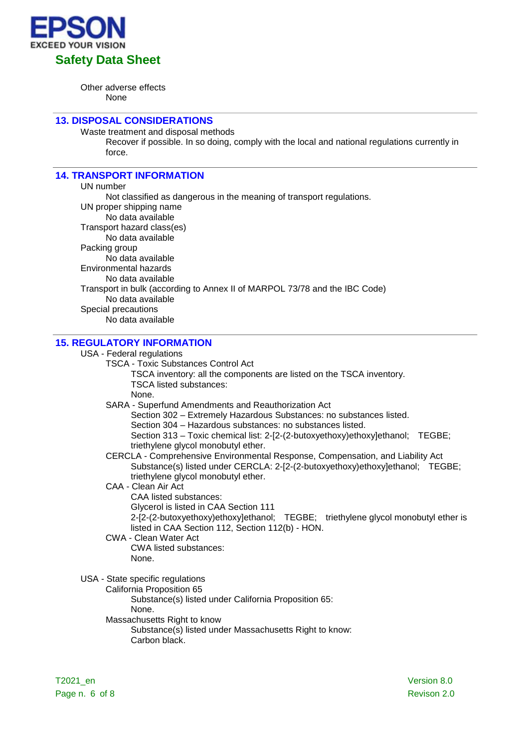

Other adverse effects None

### **13. DISPOSAL CONSIDERATIONS**

Waste treatment and disposal methods

Recover if possible. In so doing, comply with the local and national regulations currently in force.

### **14. TRANSPORT INFORMATION**

UN number Not classified as dangerous in the meaning of transport regulations. UN proper shipping name No data available Transport hazard class(es) No data available Packing group No data available Environmental hazards No data available Transport in bulk (according to Annex II of MARPOL 73/78 and the IBC Code) No data available Special precautions No data available

# **15. REGULATORY INFORMATION**

#### USA - Federal regulations

TSCA - Toxic Substances Control Act

TSCA inventory: all the components are listed on the TSCA inventory. TSCA listed substances:

None.

SARA - Superfund Amendments and Reauthorization Act

Section 302 – Extremely Hazardous Substances: no substances listed.

Section 304 – Hazardous substances: no substances listed.

Section 313 – Toxic chemical list: 2-[2-(2-butoxyethoxy)ethoxy]ethanol; TEGBE; triethylene glycol monobutyl ether.

CERCLA - Comprehensive Environmental Response, Compensation, and Liability Act Substance(s) listed under CERCLA: 2-[2-(2-butoxyethoxy)ethoxy]ethanol; TEGBE; triethylene glycol monobutyl ether.

- CAA Clean Air Act
	- CAA listed substances:

Glycerol is listed in CAA Section 111

2-[2-(2-butoxyethoxy)ethoxy]ethanol; TEGBE; triethylene glycol monobutyl ether is listed in CAA Section 112, Section 112(b) - HON.

CWA - Clean Water Act CWA listed substances:

None.

USA - State specific regulations

California Proposition 65 Substance(s) listed under California Proposition 65: None. Massachusetts Right to know Substance(s) listed under Massachusetts Right to know: Carbon black.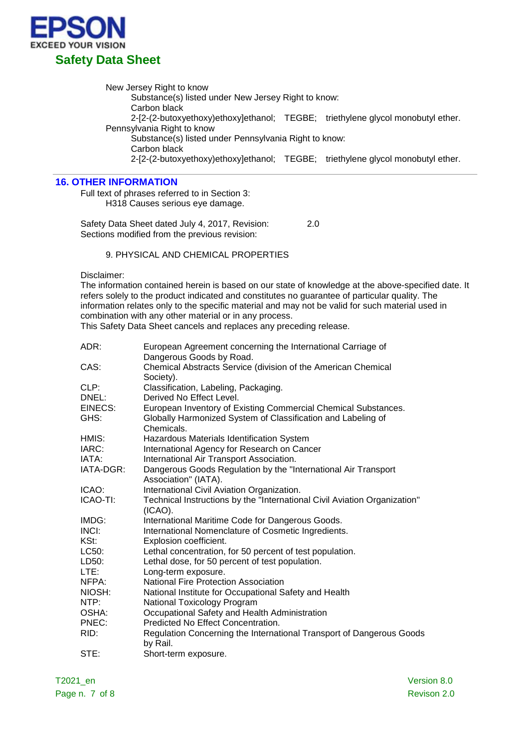

New Jersey Right to know

Substance(s) listed under New Jersey Right to know: Carbon black 2-[2-(2-butoxyethoxy)ethoxy]ethanol; TEGBE; triethylene glycol monobutyl ether. Pennsylvania Right to know Substance(s) listed under Pennsylvania Right to know: Carbon black 2-[2-(2-butoxyethoxy)ethoxy]ethanol; TEGBE; triethylene glycol monobutyl ether.

### **16. OTHER INFORMATION**

Full text of phrases referred to in Section 3: H318 Causes serious eye damage.

Safety Data Sheet dated July 4, 2017, Revision: 2.0 Sections modified from the previous revision:

# 9. PHYSICAL AND CHEMICAL PROPERTIES

Disclaimer:

The information contained herein is based on our state of knowledge at the above-specified date. It refers solely to the product indicated and constitutes no guarantee of particular quality. The information relates only to the specific material and may not be valid for such material used in combination with any other material or in any process.

This Safety Data Sheet cancels and replaces any preceding release.

| ADR:      | European Agreement concerning the International Carriage of                             |
|-----------|-----------------------------------------------------------------------------------------|
|           | Dangerous Goods by Road.                                                                |
| CAS:      | Chemical Abstracts Service (division of the American Chemical<br>Society).              |
| CLP:      | Classification, Labeling, Packaging.                                                    |
| DNEL:     | Derived No Effect Level.                                                                |
| EINECS:   | European Inventory of Existing Commercial Chemical Substances.                          |
| GHS:      | Globally Harmonized System of Classification and Labeling of<br>Chemicals.              |
| HMIS:     | Hazardous Materials Identification System                                               |
| IARC:     |                                                                                         |
|           | International Agency for Research on Cancer                                             |
| IATA:     | International Air Transport Association.                                                |
| IATA-DGR: | Dangerous Goods Regulation by the "International Air Transport<br>Association" (IATA).  |
| ICAO:     | International Civil Aviation Organization.                                              |
| ICAO-TI:  | Technical Instructions by the "International Civil Aviation Organization"<br>$(ICAO)$ . |
| IMDG:     | International Maritime Code for Dangerous Goods.                                        |
| INCI:     | International Nomenclature of Cosmetic Ingredients.                                     |
| KSt:      | Explosion coefficient.                                                                  |
| LC50:     | Lethal concentration, for 50 percent of test population.                                |
| LD50:     | Lethal dose, for 50 percent of test population.                                         |
| LTE:      | Long-term exposure.                                                                     |
| NFPA:     | <b>National Fire Protection Association</b>                                             |
| NIOSH:    | National Institute for Occupational Safety and Health                                   |
| NTP:      | National Toxicology Program                                                             |
| OSHA:     | Occupational Safety and Health Administration                                           |
| PNEC:     | Predicted No Effect Concentration.                                                      |
| RID:      | Regulation Concerning the International Transport of Dangerous Goods<br>by Rail.        |
| STE:      | Short-term exposure.                                                                    |

T2021\_en Version 8.0 Page n. 7 of 8 Revison 2.0